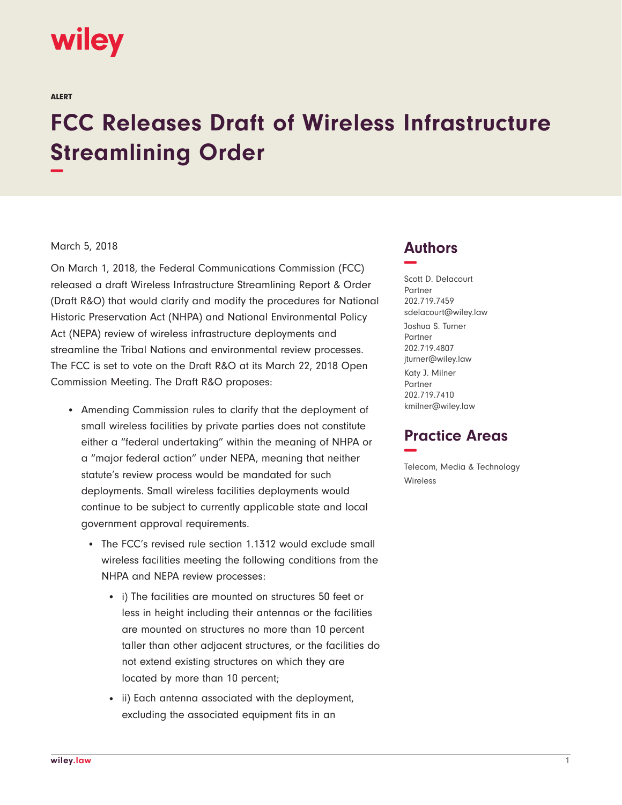# wiley

ALERT

# **FCC Releases Draft of Wireless Infrastructure Streamlining Order −**

#### March 5, 2018

On March 1, 2018, the Federal Communications Commission (FCC) released a draft Wireless Infrastructure Streamlining Report & Order (Draft R&O) that would clarify and modify the procedures for National Historic Preservation Act (NHPA) and National Environmental Policy Act (NEPA) review of wireless infrastructure deployments and streamline the Tribal Nations and environmental review processes. The FCC is set to vote on the Draft R&O at its March 22, 2018 Open Commission Meeting. The Draft R&O proposes:

- Amending Commission rules to clarify that the deployment of small wireless facilities by private parties does not constitute either a "federal undertaking" within the meaning of NHPA or a "major federal action" under NEPA, meaning that neither statute's review process would be mandated for such deployments. Small wireless facilities deployments would continue to be subject to currently applicable state and local government approval requirements.
	- The FCC's revised rule section 1.1312 would exclude small wireless facilities meeting the following conditions from the NHPA and NEPA review processes:
		- i) The facilities are mounted on structures 50 feet or less in height including their antennas or the facilities are mounted on structures no more than 10 percent taller than other adjacent structures, or the facilities do not extend existing structures on which they are located by more than 10 percent;
		- ii) Each antenna associated with the deployment, excluding the associated equipment fits in an

### **Authors −**

Scott D. Delacourt Partner 202.719.7459 sdelacourt@wiley.law Joshua S. Turner Partner 202.719.4807 jturner@wiley.law Katy J. Milner Partner 202.719.7410 kmilner@wiley.law

## **Practice Areas −**

Telecom, Media & Technology Wireless